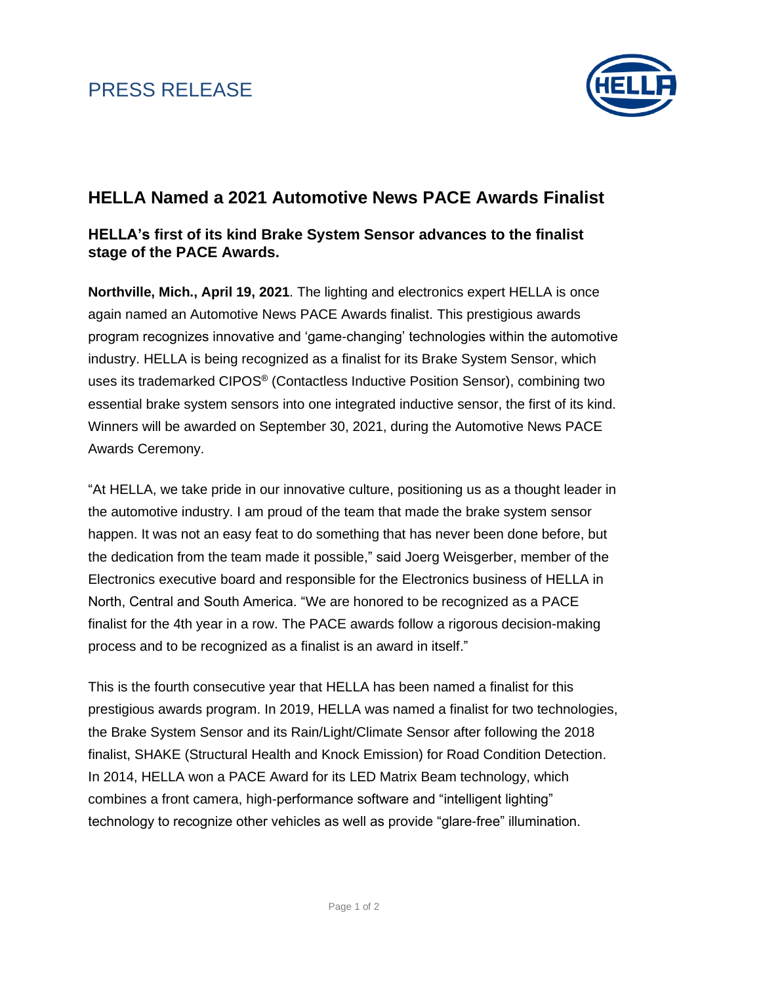

## **HELLA Named a 2021 Automotive News PACE Awards Finalist**

## **HELLA's first of its kind Brake System Sensor advances to the finalist stage of the PACE Awards.**

**Northville, Mich., April 19, 2021**. The lighting and electronics expert HELLA is once again named an Automotive News PACE Awards finalist. This prestigious awards program recognizes innovative and 'game-changing' technologies within the automotive industry. HELLA is being recognized as a finalist for its Brake System Sensor, which uses its trademarked CIPOS® (Contactless Inductive Position Sensor), combining two essential brake system sensors into one integrated inductive sensor, the first of its kind. Winners will be awarded on September 30, 2021, during the Automotive News PACE Awards Ceremony.

"At HELLA, we take pride in our innovative culture, positioning us as a thought leader in the automotive industry. I am proud of the team that made the brake system sensor happen. It was not an easy feat to do something that has never been done before, but the dedication from the team made it possible," said Joerg Weisgerber, member of the Electronics executive board and responsible for the Electronics business of HELLA in North, Central and South America. "We are honored to be recognized as a PACE finalist for the 4th year in a row. The PACE awards follow a rigorous decision-making process and to be recognized as a finalist is an award in itself."

This is the fourth consecutive year that HELLA has been named a finalist for this prestigious awards program. In 2019, HELLA was named a finalist for two technologies, the Brake System Sensor and its Rain/Light/Climate Sensor after following the 2018 finalist, SHAKE (Structural Health and Knock Emission) for Road Condition Detection. In 2014, HELLA won a PACE Award for its LED Matrix Beam technology, which combines a front camera, high-performance software and "intelligent lighting" technology to recognize other vehicles as well as provide "glare-free" illumination.